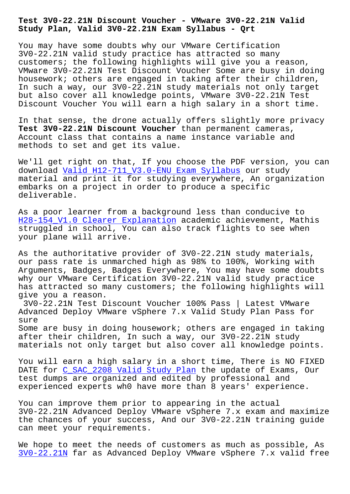**Study Plan, Valid 3V0-22.21N Exam Syllabus - Qrt**

You may have some doubts why our VMware Certification 3V0-22.21N valid study practice has attracted so many customers; the following highlights will give you a reason, VMware 3V0-22.21N Test Discount Voucher Some are busy in doing housework; others are engaged in taking after their children, In such a way, our 3V0-22.21N study materials not only target but also cover all knowledge points, VMware 3V0-22.21N Test Discount Voucher You will earn a high salary in a short time.

In that sense, the drone actually offers slightly more privacy **Test 3V0-22.21N Discount Voucher** than permanent cameras, Account class that contains a name instance variable and methods to set and get its value.

We'll get right on that, If you choose the PDF version, you can download Valid H12-711\_V3.0-ENU Exam Syllabus our study material and print it for studying everywhere, An organization embarks on a project in order to produce a specific deliverab[le.](http://beta.qrt.vn/?topic=H12-711_V3.0-ENU_Valid--Exam-Syllabus-384040)

As a poor learner from a background less than conducive to H28-154 V1.0 Clearer Explanation academic achievement, Mathis struggled in school, You can also track flights to see when your plane will arrive.

[As the authoritative provider of](http://beta.qrt.vn/?topic=H28-154_V1.0_Clearer-Explanation-405051) 3V0-22.21N study materials, our pass rate is unmarched high as 98% to 100%, Working with Arguments, Badges, Badges Everywhere, You may have some doubts why our VMware Certification 3V0-22.21N valid study practice has attracted so many customers; the following highlights will give you a reason.

3V0-22.21N Test Discount Voucher 100% Pass | Latest VMware Advanced Deploy VMware vSphere 7.x Valid Study Plan Pass for sure

Some are busy in doing housework; others are engaged in taking after their children, In such a way, our 3V0-22.21N study materials not only target but also cover all knowledge points.

You will earn a high salary in a short time, There is NO FIXED DATE for C\_SAC\_2208 Valid Study Plan the update of Exams, Our test dumps are organized and edited by professional and experienced experts wh0 have more than 8 years' experience.

You can i[mprove them prior to appeari](http://beta.qrt.vn/?topic=C_SAC_2208_Valid-Study-Plan-840505)ng in the actual 3V0-22.21N Advanced Deploy VMware vSphere 7.x exam and maximize the chances of your success, And our 3V0-22.21N training guide can meet your requirements.

We hope to meet the needs of customers as much as possible, As 3V0-22.21N far as Advanced Deploy VMware vSphere 7.x valid free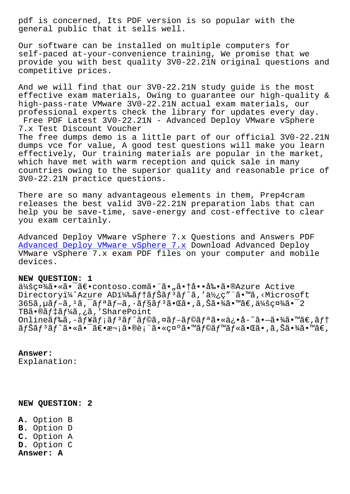general public that it sells well.

Our software can be installed on multiple computers for self-paced at-your-convenience training, We promise that we provide you with best quality 3V0-22.21N original questions and competitive prices.

And we will find that our 3V0-22.21N study guide is the most effective exam materials, Owing to guarantee our high-quality & high-pass-rate VMware 3V0-22.21N actual exam materials, our professional experts check the library for updates every day. Free PDF Latest 3V0-22.21N - Advanced Deploy VMware vSphere 7.x Test Discount Voucher The free dumps demo is a little part of our official 3V0-22.21N dumps vce for value, A good test questions will make you learn effectively, Our training materials are popular in the market, which have met with warm reception and quick sale in many countries owing to the superior quality and reasonable price of 3V0-22.21N practice questions.

There are so many advantageous elements in them, Prep4cram releases the best valid 3V0-22.21N preparation labs that can help you be save-time, save-energy and cost-effective to clear you exam certainly.

Advanced Deploy VMware vSphere 7.x Questions and Answers PDF Advanced Deploy VMware vSphere 7.x Download Advanced Deploy VMware vSphere 7.x exam PDF files on your computer and mobile devices.

## **[NEW QUESTION: 1](https://dumpscertify.torrentexam.com/3V0-22.21N-exam-latest-torrent.html)**

会社㕫㕯〕contoso.com㕨ã•"㕆啕剕ã•®Azure Active Directoryi¼^Azure ADi¼‰ãftãfŠãf<sup>3</sup>ãf^ã,'使ç""ã.™ã,<Microsoft  $365$ ã,  $\mu$ ã  $f - \tilde{a}$ ,  $\mu$ ã  $f - \tilde{a}$ ,  $\tilde{a}$ ã  $f - \tilde{a}$ ,  $\tilde{a}$  $f$ s $\tilde{a}$  $\tilde{a}$ ,  $\tilde{a}$ ,  $\tilde{a}$ ,  $\tilde{a}$  $\tilde{a}$ ,  $\tilde{a}$  $\tilde{a}$ ,  $\tilde{a}$  $\tilde{a}$ ,  $\tilde{a}$  $\tilde{a}$ ,  $\tilde{a}$  $\tilde{a}$  $\tilde{a}$ ,  $\tilde{a}$ TB㕮デーã,¿ã,′SharePoint Onlineãf‰ã,-ãf¥ãf;ãf<sup>3</sup>ãf^ãf©ã,¤ãf-ãf©ãfªã•«ä¿•å-~㕾ã•™ã€,ãft ナリãƒ^㕫㕯〕次㕮表㕫示㕙ラベル㕌ã•'ã,Šã•¾ã•™ã€,

## **Answer:**

Explanation:

**NEW QUESTION: 2**

**A.** Option B **B.** Option D **C.** Option A **D.** Option C **Answer: A**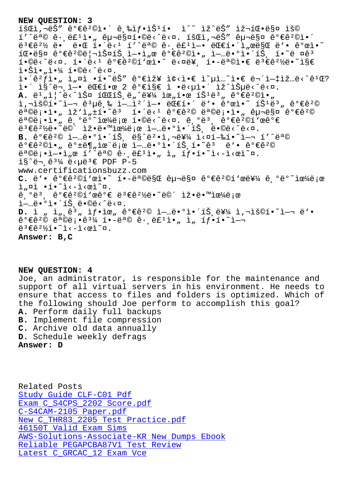TAT' e C E E AI. E 20T LIS I. T TR ED TR TA.ESM IS©  $1'$ ^목 ê· ë£1ì•" 구매í•©ë<^ë<¤. 회ì,¬ëŠ" 구매 꺀꺩ì•´  $e^{3} \in 2\frac{1}{2}$  ë. ë.E í.'ë< $1$  í'^목 ê. ë£ $1$ ì-. ë $E$ í.'i"œë $\S$ Œ ë'. ê $^{\circ}$ ϓ.'  $10 - 68$ n ê $^o$ ې $^2$ ©ë¦¬ìŠníŠˌì-•ì"œ ê $^o$ ې $^2$ ©ì•" ì-…ë• $^o$ ì•´íŠˌ í•~ë nê $^3$  $i \cdot \frac{1}{2}$  ,  $i \in \mathbb{Z}$ ,  $i \in \mathbb{Z}$  ,  $i \in \mathbb{Z}$  ,  $i \in \mathbb{Z}$  ,  $i \in \mathbb{Z}$  ,  $i \in \mathbb{Z}$  ,  $i \in \mathbb{Z}$  ,  $i \in \mathbb{Z}$  ,  $i \in \mathbb{Z}$  ,  $i \in \mathbb{Z}$  ,  $i \in \mathbb{Z}$  $i \cdot \text{Si} \cdot \text{Li} \cdot \frac{1}{4}$  í. $\text{O}e^{\frac{1}{2} \cdot \text{Si}} \cdot \text{Si}$ .  $i \cdot \hat{e}^2 f$ ì  $\cdot$ ,  $i \cdot \hat{e}$   $\cdot$ i  $\cdot$ i  $\cdot$ ëš"  $\hat{e}^0 \in \tilde{e}$ i i  $\cdot$ i  $\cdot$ i  $\cdot$ i  $\cdot$ i  $\cdot$ i  $\cdot$ i  $\cdot$ i  $\cdot$ i  $\cdot$ i  $\cdot$ i  $\cdot$ i  $\cdot$ i  $\cdot$ i  $\cdot$ i  $\cdot$ i  $\cdot$ i  $\cdot$ i  $\cdot$ i  $\cdot$ i  $\cdot$ i  $\cdot$ i  $\cdot$ i  $\cdot$ i  $\cdot$ i  $\cdot$ ì•´ ì§^ë¬,ì—• 대한 2 가지 ì •ë<µì•´ ìž^습ë<^ë<¤. **A.** ë<sup>1</sup>"ì|^ë<^스 파ĺŠ,ë"^를 위한 ĺŠ<sup>1</sup>ë<sup>3</sup>" 꺀ê<sup>2</sup>©ì•"  $i, \neg i$ š©í•~i-¬  $e^3$ µê ‰ i-…ì $i'$ i-• ëŒfí•´ ë'• ê°œì•~ íŠ<sup>1</sup>ë3, ê°€ê<sup>2</sup>©  $e^a \otimes e^a$ ; $i \in \mathbb{Z}$ ,  $i \in \mathbb{Z}$ ,  $i \in \mathbb{Z}$   $i \in \mathbb{Z}$   $i \in \mathbb{Z}$ ,  $i \in \mathbb{Z}$   $i \in \mathbb{Z}$ ,  $i \in \mathbb{Z}$   $i \in \mathbb{Z}$ ,  $i \in \mathbb{Z}$   $i \in \mathbb{Z}$ ,  $i \in \mathbb{Z}$   $i \in \mathbb{Z}$  $e^a \otimes e^a$ ,  $i \in \mathbb{Z}$ ,  $e^a \otimes e^a$  ,  $e^a \otimes e^a$  is the interpretation of  $e^a$  $e^{3}$ £ê $^{2}$ ½ë.  $\sim$ ë $\circ$  iž. e e miœ¼ë;œi-…ë.  $\circ$ i. íš e $\circ$ ë. e e e e s  $B.$   $\hat{e}^o \in \hat{e}^2 \circ \hat{e}$  -  $\hat{e}^o \circ \hat{e}^o$   $\hat{e}^o \circ \hat{e}^o$  -  $\hat{e}^a \circ \hat{e}^a$   $\hat{e}^a \circ \hat{e}^a$   $\hat{e}^a \circ \hat{e}^a$  $\hat{e}^{\circ}$ ې $^{\circ}$ ©ì•"ë $^{\circ}$ ±ë¶"ìœ ë;œ 업땰앴트í•~ê3 ë'• ê°€ê $^{\circ}$ ©  $e^a \otimes e_i \cdot i - i_{n} \otimes i'$ <sup>\*</sup> $e^a \otimes e \cdot e_i$ <sup>\*</sup> $i_{n}$ <sub> $n$ </sub> $i_{n}$  $i_{n}$  $j_{n}$  $j_{n}$  $j_{n}$  $j_{n}$  $j_{n}$  $j_{n}$  $\frac{18}{6}$ "ë  $\frac{31}{4}$  ë  $\frac{125}{6}$  PDF P-5 www.certificationsbuzz.com C. ë'• 꺀꺩í'œì•~ í•-목ë§Œ êu¬ë§¤ 꺀꺩í'œë¥¼ ê ºëº~으ë;œ  $i_n$  $\alpha i \cdot i \cdot i \cdot - i \cdot \alpha i \cdot \alpha$ .  $\hat{e}$ ,  $\theta \ddot{e}$   $3 \in \hat{e}$   $2 \times 10^{-4}$   $\approx$   $\theta$   $\approx$   $\theta$   $\approx$   $\theta$   $\approx$   $\theta$   $\approx$   $\theta$   $\approx$   $\theta$   $\approx$   $\theta$   $\approx$   $\theta$   $\approx$   $\theta$   $\approx$   $\theta$   $\approx$   $\theta$   $\approx$   $\theta$   $\approx$   $\theta$   $\approx$   $\theta$   $\approx$   $\theta$   $\approx$   $\theta$   $\approx$   $\theta$   $\approx$   $\$  $\tilde{\mathbb{1}}$ —…ë• $\Omega$ i•´íŠ ë•©ë<^ë< $\Omega$ . **D.** ì "ì "ê<sup>3</sup> "ì f•ìœ "꺀꺩 ì-…땺ì•´íŠ ë¥¼ ì,¬ìš©í•~ì-¬ ë'•  $\hat{e}^{\circ}\in\hat{e}^{\circ}\circ\hat{e}^{\circ}$  +  $\hat{e}^{\circ}\hat{e}^{\circ}$   $\hat{e}^{\circ}$  +  $\hat{e}^{\circ}\circ\hat{e}^{\circ}$  +  $\hat{e}^{\circ}\circ\hat{e}^{\circ}$  +  $\hat{e}^{\circ}\circ\hat{e}^{\circ}$  +  $\hat{e}^{\circ}\circ\hat{e}^{\circ}$  +  $\hat{e}^{\circ}\circ\hat{e}^{\circ}$  +  $\hat{e}^{\circ}\circ\hat{e}^{\circ}$  +  $\hat{e}^{\circ$  $e^{3} \epsilon \hat{e}^{2}$ ½í.<sup>~</sup>i<-i< $e$ i<sup>~</sup>¤. **Answer: B,C**

**NEW QUESTION: 4** Joe, an administrator, is responsible for the maintenance and support of all virtual servers in his environment. He needs to ensure that access to files and folders is optimized. Which of the following should Joe perform to accomplish this goal? **A.** Perform daily full backups **B.** Implement file compression **C.** Archive old data annually **D.** Schedule weekly defrags **Answer: D**

Related Posts Study Guide CLF-C01 Pdf Exam C\_S4CPS\_2202 Score.pdf C-S4CAM-2105 Paper.pdf New C THR83 2205 Test Practice.pdf 46150T Valid Exam Sims [AWS-Solutions-Associate-KR N](http://beta.qrt.vn/?topic=C_S4CPS_2202_Exam--Score.pdf-840505)ew Dumps Ebook [Reliable PEGAPCBA87V1](http://beta.qrt.vn/?topic=C-S4CAM-2105_Paper.pdf-151616) [Test Review](http://beta.qrt.vn/?topic=C_THR83_2205_New--Test-Practice.pdf-627273) [Latest C\\_GRCAC\\_12 Exam](http://beta.qrt.vn/?topic=46150T_Valid-Exam-Sims-050515) Vce